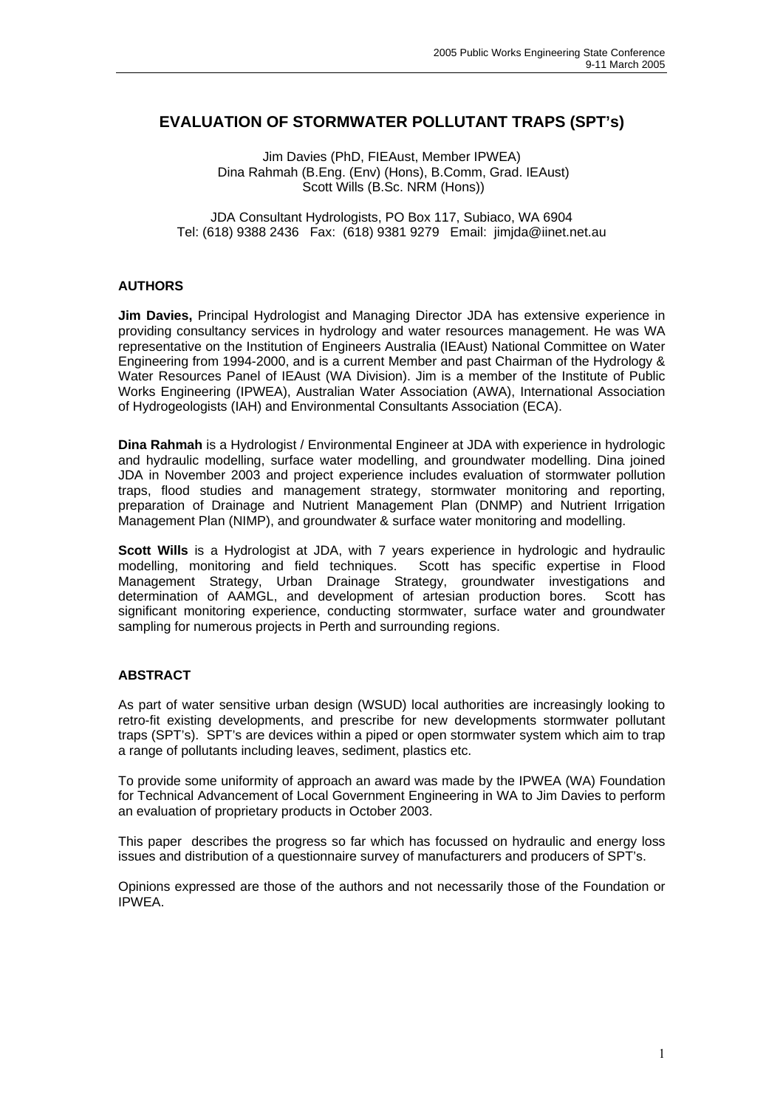### **EVALUATION OF STORMWATER POLLUTANT TRAPS (SPT's)**

Jim Davies (PhD, FIEAust, Member IPWEA) Dina Rahmah (B.Eng. (Env) (Hons), B.Comm, Grad. IEAust) Scott Wills (B.Sc. NRM (Hons))

JDA Consultant Hydrologists, PO Box 117, Subiaco, WA 6904 Tel: (618) 9388 2436 Fax: (618) 9381 9279 Email: jimjda@iinet.net.au

### **AUTHORS**

**Jim Davies,** Principal Hydrologist and Managing Director JDA has extensive experience in providing consultancy services in hydrology and water resources management. He was WA representative on the Institution of Engineers Australia (IEAust) National Committee on Water Engineering from 1994-2000, and is a current Member and past Chairman of the Hydrology & Water Resources Panel of IEAust (WA Division). Jim is a member of the Institute of Public Works Engineering (IPWEA), Australian Water Association (AWA), International Association of Hydrogeologists (IAH) and Environmental Consultants Association (ECA).

**Dina Rahmah** is a Hydrologist / Environmental Engineer at JDA with experience in hydrologic and hydraulic modelling, surface water modelling, and groundwater modelling. Dina joined JDA in November 2003 and project experience includes evaluation of stormwater pollution traps, flood studies and management strategy, stormwater monitoring and reporting, preparation of Drainage and Nutrient Management Plan (DNMP) and Nutrient Irrigation Management Plan (NIMP), and groundwater & surface water monitoring and modelling.

**Scott Wills** is a Hydrologist at JDA, with 7 years experience in hydrologic and hydraulic modelling, monitoring and field techniques. Scott has specific expertise in Flood Management Strategy, Urban Drainage Strategy, groundwater investigations and determination of AAMGL, and development of artesian production bores. Scott has significant monitoring experience, conducting stormwater, surface water and groundwater sampling for numerous projects in Perth and surrounding regions.

#### **ABSTRACT**

As part of water sensitive urban design (WSUD) local authorities are increasingly looking to retro-fit existing developments, and prescribe for new developments stormwater pollutant traps (SPT's). SPT's are devices within a piped or open stormwater system which aim to trap a range of pollutants including leaves, sediment, plastics etc.

To provide some uniformity of approach an award was made by the IPWEA (WA) Foundation for Technical Advancement of Local Government Engineering in WA to Jim Davies to perform an evaluation of proprietary products in October 2003.

This paper describes the progress so far which has focussed on hydraulic and energy loss issues and distribution of a questionnaire survey of manufacturers and producers of SPT's.

Opinions expressed are those of the authors and not necessarily those of the Foundation or **IPWEA**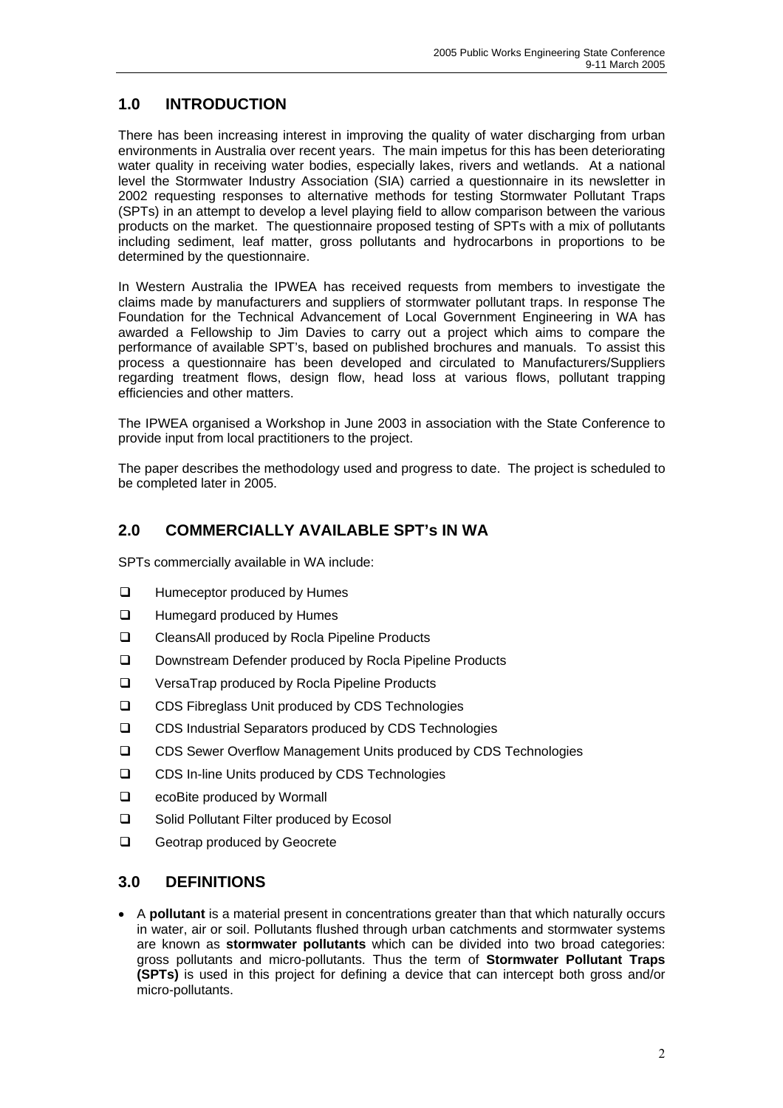# **1.0 INTRODUCTION**

There has been increasing interest in improving the quality of water discharging from urban environments in Australia over recent years. The main impetus for this has been deteriorating water quality in receiving water bodies, especially lakes, rivers and wetlands. At a national level the Stormwater Industry Association (SIA) carried a questionnaire in its newsletter in 2002 requesting responses to alternative methods for testing Stormwater Pollutant Traps (SPTs) in an attempt to develop a level playing field to allow comparison between the various products on the market. The questionnaire proposed testing of SPTs with a mix of pollutants including sediment, leaf matter, gross pollutants and hydrocarbons in proportions to be determined by the questionnaire.

In Western Australia the IPWEA has received requests from members to investigate the claims made by manufacturers and suppliers of stormwater pollutant traps. In response The Foundation for the Technical Advancement of Local Government Engineering in WA has awarded a Fellowship to Jim Davies to carry out a project which aims to compare the performance of available SPT's, based on published brochures and manuals. To assist this process a questionnaire has been developed and circulated to Manufacturers/Suppliers regarding treatment flows, design flow, head loss at various flows, pollutant trapping efficiencies and other matters.

The IPWEA organised a Workshop in June 2003 in association with the State Conference to provide input from local practitioners to the project.

The paper describes the methodology used and progress to date. The project is scheduled to be completed later in 2005.

# **2.0 COMMERCIALLY AVAILABLE SPT's IN WA**

SPTs commercially available in WA include:

- □ Humeceptor produced by Humes
- **Humegard produced by Humes**
- □ CleansAll produced by Rocla Pipeline Products
- Downstream Defender produced by Rocla Pipeline Products
- VersaTrap produced by Rocla Pipeline Products
- □ CDS Fibreglass Unit produced by CDS Technologies
- CDS Industrial Separators produced by CDS Technologies
- CDS Sewer Overflow Management Units produced by CDS Technologies
- □ CDS In-line Units produced by CDS Technologies
- □ ecoBite produced by Wormall
- □ Solid Pollutant Filter produced by Ecosol
- Geotrap produced by Geocrete

### **3.0 DEFINITIONS**

• A **pollutant** is a material present in concentrations greater than that which naturally occurs in water, air or soil. Pollutants flushed through urban catchments and stormwater systems are known as **stormwater pollutants** which can be divided into two broad categories: gross pollutants and micro-pollutants. Thus the term of **Stormwater Pollutant Traps (SPTs)** is used in this project for defining a device that can intercept both gross and/or micro-pollutants.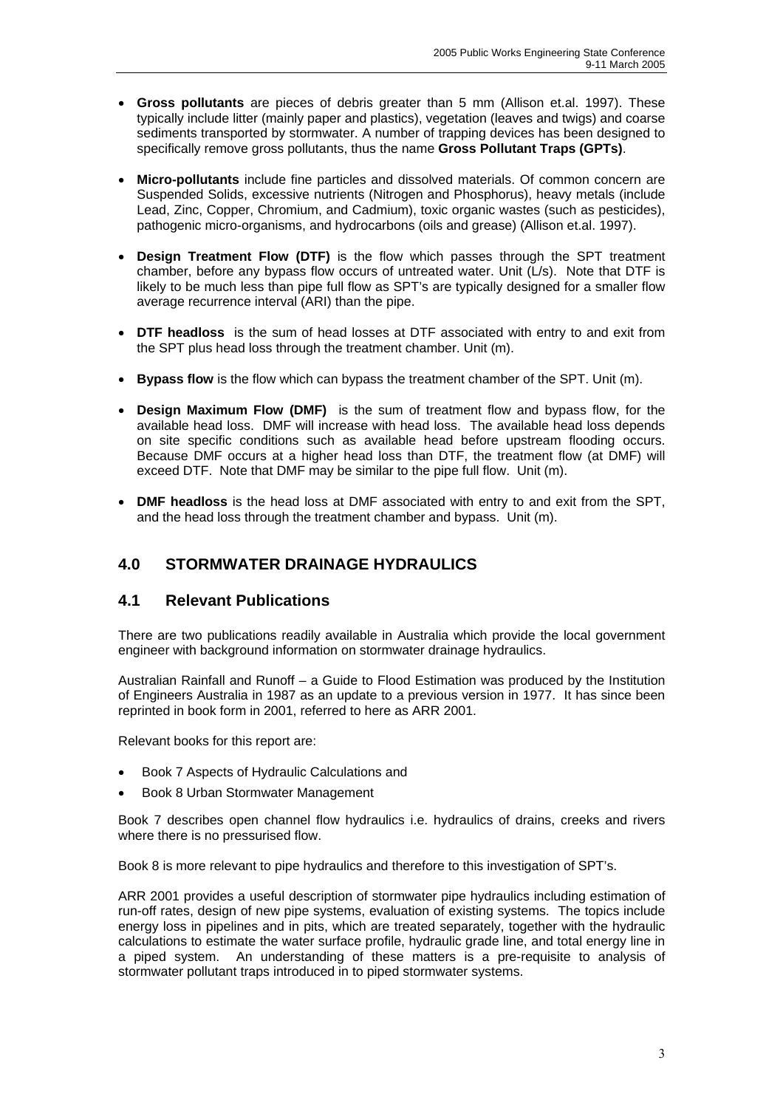- **Gross pollutants** are pieces of debris greater than 5 mm (Allison et.al. 1997). These typically include litter (mainly paper and plastics), vegetation (leaves and twigs) and coarse sediments transported by stormwater. A number of trapping devices has been designed to specifically remove gross pollutants, thus the name **Gross Pollutant Traps (GPTs)**.
- **Micro-pollutants** include fine particles and dissolved materials. Of common concern are Suspended Solids, excessive nutrients (Nitrogen and Phosphorus), heavy metals (include Lead, Zinc, Copper, Chromium, and Cadmium), toxic organic wastes (such as pesticides), pathogenic micro-organisms, and hydrocarbons (oils and grease) (Allison et.al. 1997).
- **Design Treatment Flow (DTF)** is the flow which passes through the SPT treatment chamber, before any bypass flow occurs of untreated water. Unit (L/s). Note that DTF is likely to be much less than pipe full flow as SPT's are typically designed for a smaller flow average recurrence interval (ARI) than the pipe.
- **DTF headloss** is the sum of head losses at DTF associated with entry to and exit from the SPT plus head loss through the treatment chamber. Unit (m).
- **Bypass flow** is the flow which can bypass the treatment chamber of the SPT. Unit (m).
- **Design Maximum Flow (DMF)** is the sum of treatment flow and bypass flow, for the available head loss. DMF will increase with head loss. The available head loss depends on site specific conditions such as available head before upstream flooding occurs. Because DMF occurs at a higher head loss than DTF, the treatment flow (at DMF) will exceed DTF. Note that DMF may be similar to the pipe full flow. Unit (m).
- **DMF headloss** is the head loss at DMF associated with entry to and exit from the SPT, and the head loss through the treatment chamber and bypass. Unit (m).

# **4.0 STORMWATER DRAINAGE HYDRAULICS**

## **4.1 Relevant Publications**

There are two publications readily available in Australia which provide the local government engineer with background information on stormwater drainage hydraulics.

Australian Rainfall and Runoff – a Guide to Flood Estimation was produced by the Institution of Engineers Australia in 1987 as an update to a previous version in 1977. It has since been reprinted in book form in 2001, referred to here as ARR 2001.

Relevant books for this report are:

- Book 7 Aspects of Hydraulic Calculations and
- Book 8 Urban Stormwater Management

Book 7 describes open channel flow hydraulics i.e. hydraulics of drains, creeks and rivers where there is no pressurised flow.

Book 8 is more relevant to pipe hydraulics and therefore to this investigation of SPT's.

ARR 2001 provides a useful description of stormwater pipe hydraulics including estimation of run-off rates, design of new pipe systems, evaluation of existing systems. The topics include energy loss in pipelines and in pits, which are treated separately, together with the hydraulic calculations to estimate the water surface profile, hydraulic grade line, and total energy line in a piped system. An understanding of these matters is a pre-requisite to analysis of stormwater pollutant traps introduced in to piped stormwater systems.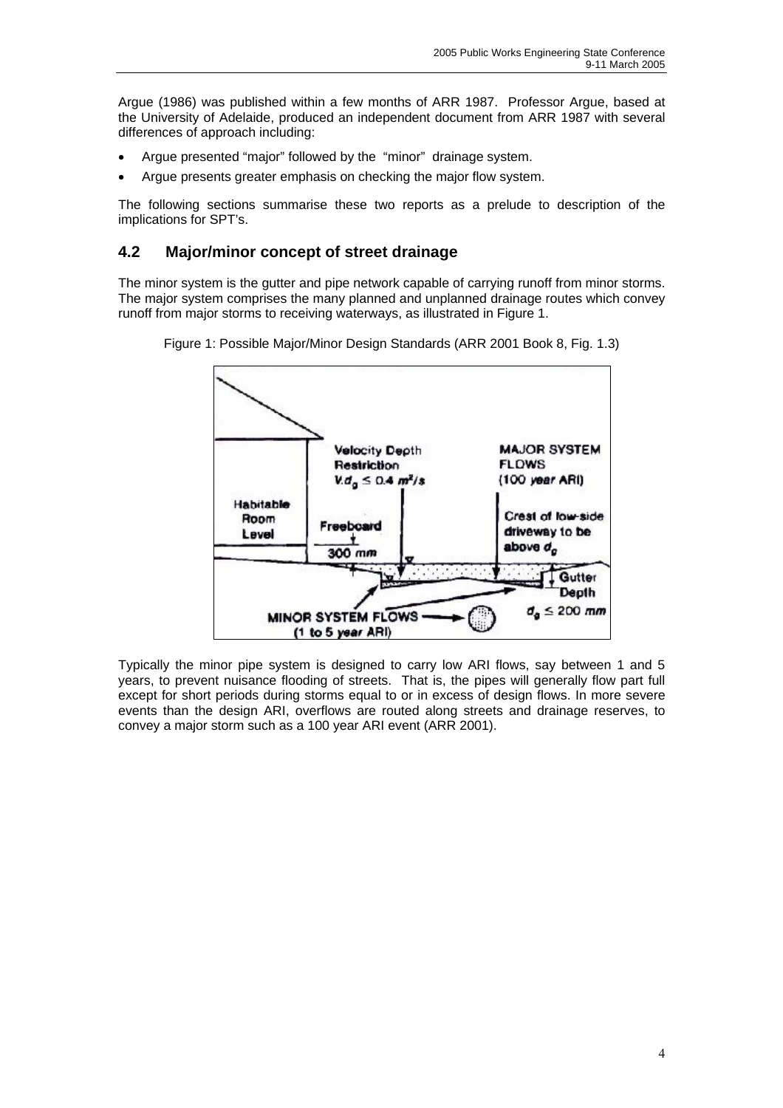Argue (1986) was published within a few months of ARR 1987. Professor Argue, based at the University of Adelaide, produced an independent document from ARR 1987 with several differences of approach including:

- Argue presented "major" followed by the "minor" drainage system.
- Argue presents greater emphasis on checking the major flow system.

The following sections summarise these two reports as a prelude to description of the implications for SPT's.

### **4.2 Major/minor concept of street drainage**

The minor system is the gutter and pipe network capable of carrying runoff from minor storms. The major system comprises the many planned and unplanned drainage routes which convey runoff from major storms to receiving waterways, as illustrated in Figure 1.





Typically the minor pipe system is designed to carry low ARI flows, say between 1 and 5 years, to prevent nuisance flooding of streets. That is, the pipes will generally flow part full except for short periods during storms equal to or in excess of design flows. In more severe events than the design ARI, overflows are routed along streets and drainage reserves, to convey a major storm such as a 100 year ARI event (ARR 2001).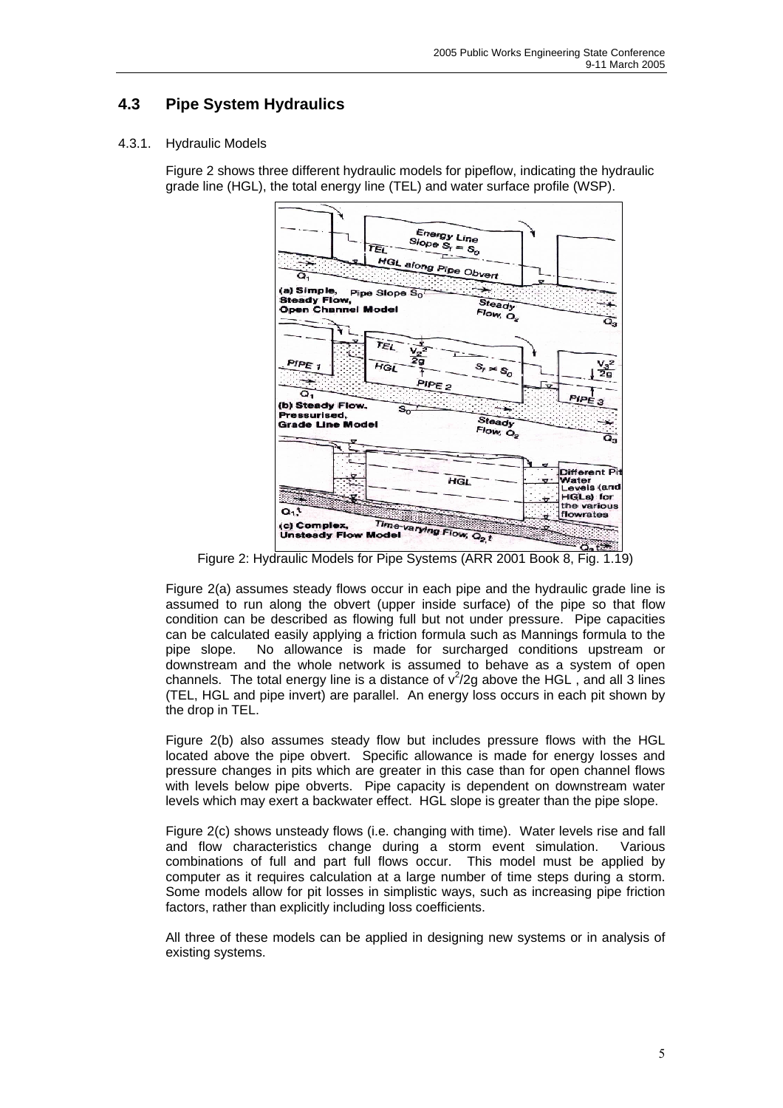# **4.3 Pipe System Hydraulics**

### 4.3.1. Hydraulic Models

Figure 2 shows three different hydraulic models for pipeflow, indicating the hydraulic grade line (HGL), the total energy line (TEL) and water surface profile (WSP).



Figure 2: Hydraulic Models for Pipe Systems (ARR 2001 Book 8, Fig. 1.19)

Figure 2(a) assumes steady flows occur in each pipe and the hydraulic grade line is assumed to run along the obvert (upper inside surface) of the pipe so that flow condition can be described as flowing full but not under pressure. Pipe capacities can be calculated easily applying a friction formula such as Mannings formula to the pipe slope. No allowance is made for surcharged conditions upstream or downstream and the whole network is assumed to behave as a system of open channels. The total energy line is a distance of  $v^2/2g$  above the HGL, and all 3 lines (TEL, HGL and pipe invert) are parallel. An energy loss occurs in each pit shown by the drop in TEL.

Figure 2(b) also assumes steady flow but includes pressure flows with the HGL located above the pipe obvert. Specific allowance is made for energy losses and pressure changes in pits which are greater in this case than for open channel flows with levels below pipe obverts. Pipe capacity is dependent on downstream water levels which may exert a backwater effect. HGL slope is greater than the pipe slope.

Figure 2(c) shows unsteady flows (i.e. changing with time). Water levels rise and fall and flow characteristics change during a storm event simulation. Various combinations of full and part full flows occur. This model must be applied by computer as it requires calculation at a large number of time steps during a storm. Some models allow for pit losses in simplistic ways, such as increasing pipe friction factors, rather than explicitly including loss coefficients.

All three of these models can be applied in designing new systems or in analysis of existing systems.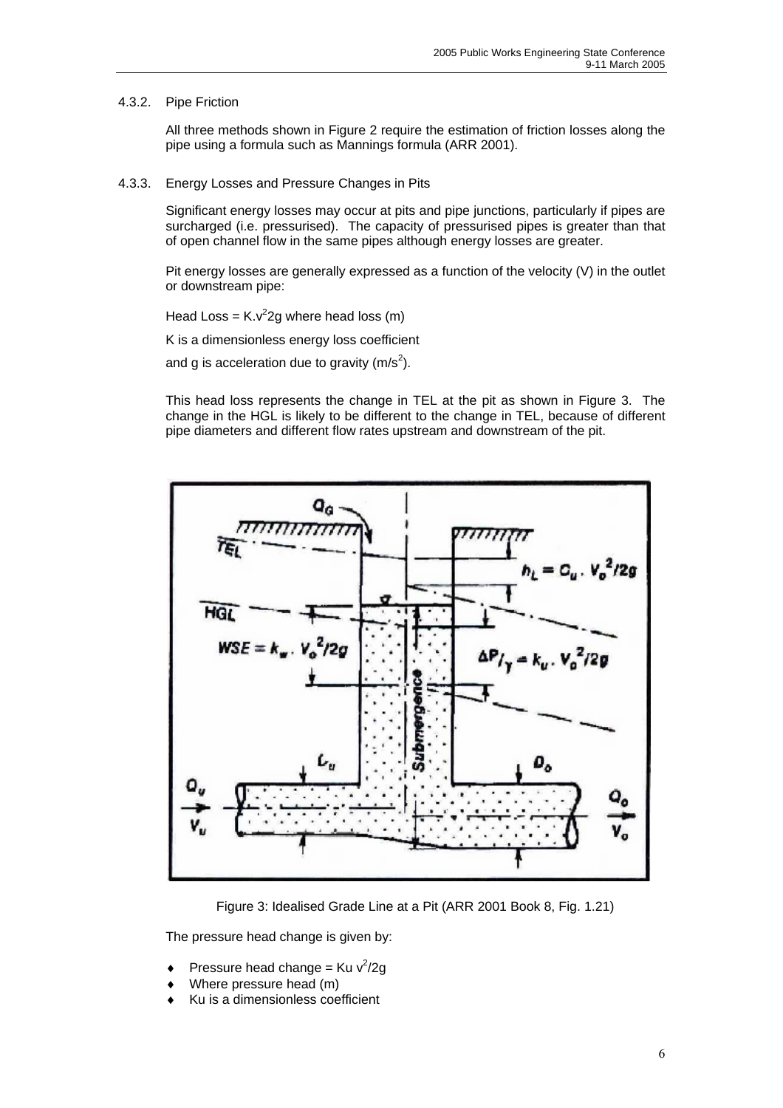#### 4.3.2. Pipe Friction

All three methods shown in Figure 2 require the estimation of friction losses along the pipe using a formula such as Mannings formula (ARR 2001).

4.3.3. Energy Losses and Pressure Changes in Pits

Significant energy losses may occur at pits and pipe junctions, particularly if pipes are surcharged (i.e. pressurised). The capacity of pressurised pipes is greater than that of open channel flow in the same pipes although energy losses are greater.

Pit energy losses are generally expressed as a function of the velocity (V) in the outlet or downstream pipe:

Head Loss =  $K.v^2$ 2g where head loss (m)

K is a dimensionless energy loss coefficient

and g is acceleration due to gravity (m/s<sup>2</sup>).

This head loss represents the change in TEL at the pit as shown in Figure 3. The change in the HGL is likely to be different to the change in TEL, because of different pipe diameters and different flow rates upstream and downstream of the pit.



Figure 3: Idealised Grade Line at a Pit (ARR 2001 Book 8, Fig. 1.21)

The pressure head change is given by:

- $\bullet$  Pressure head change = Ku v<sup>2</sup>/2g
- Where pressure head (m)
- Ku is a dimensionless coefficient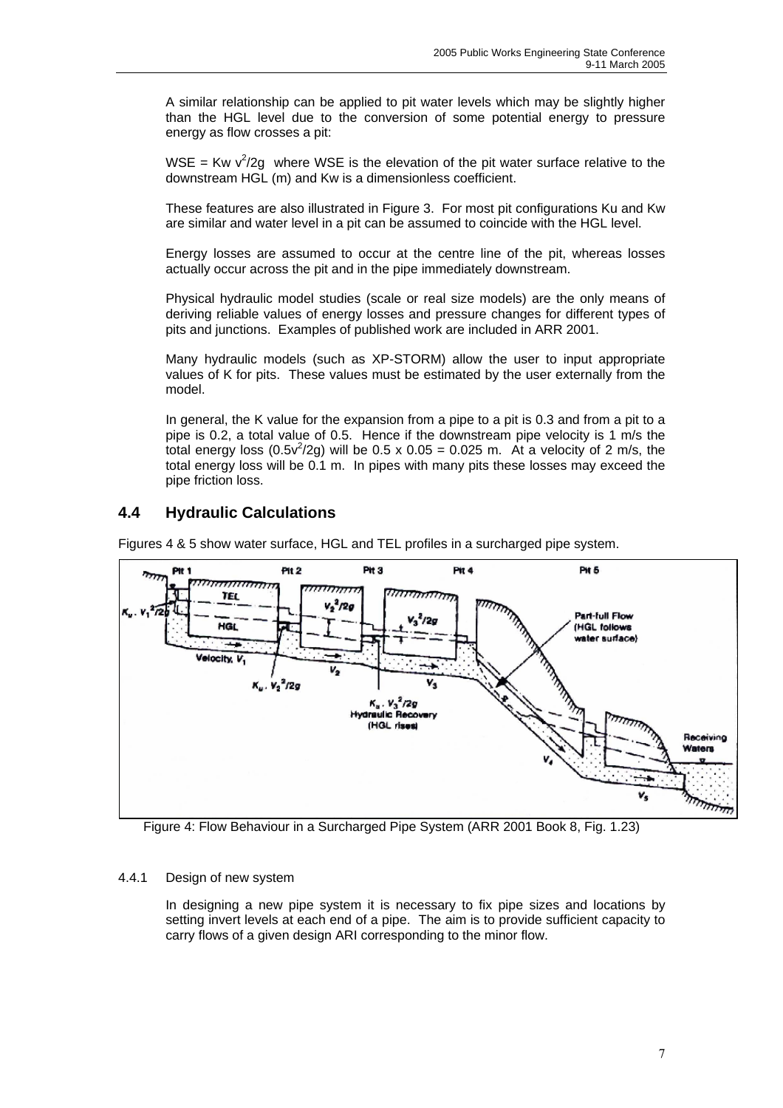A similar relationship can be applied to pit water levels which may be slightly higher than the HGL level due to the conversion of some potential energy to pressure energy as flow crosses a pit:

WSE = Kw  $v^2/2g$  where WSE is the elevation of the pit water surface relative to the downstream HGL (m) and Kw is a dimensionless coefficient.

 These features are also illustrated in Figure 3. For most pit configurations Ku and Kw are similar and water level in a pit can be assumed to coincide with the HGL level.

 Energy losses are assumed to occur at the centre line of the pit, whereas losses actually occur across the pit and in the pipe immediately downstream.

 Physical hydraulic model studies (scale or real size models) are the only means of deriving reliable values of energy losses and pressure changes for different types of pits and junctions. Examples of published work are included in ARR 2001.

 Many hydraulic models (such as XP-STORM) allow the user to input appropriate values of K for pits. These values must be estimated by the user externally from the model.

 In general, the K value for the expansion from a pipe to a pit is 0.3 and from a pit to a pipe is 0.2, a total value of 0.5. Hence if the downstream pipe velocity is 1 m/s the total energy loss (0.5 $v^2$ /2g) will be 0.5 x 0.05 = 0.025 m. At a velocity of 2 m/s, the total energy loss will be 0.1 m. In pipes with many pits these losses may exceed the pipe friction loss.

# **4.4 Hydraulic Calculations**

Figures 4 & 5 show water surface, HGL and TEL profiles in a surcharged pipe system.



Figure 4: Flow Behaviour in a Surcharged Pipe System (ARR 2001 Book 8, Fig. 1.23)

### 4.4.1 Design of new system

In designing a new pipe system it is necessary to fix pipe sizes and locations by setting invert levels at each end of a pipe. The aim is to provide sufficient capacity to carry flows of a given design ARI corresponding to the minor flow.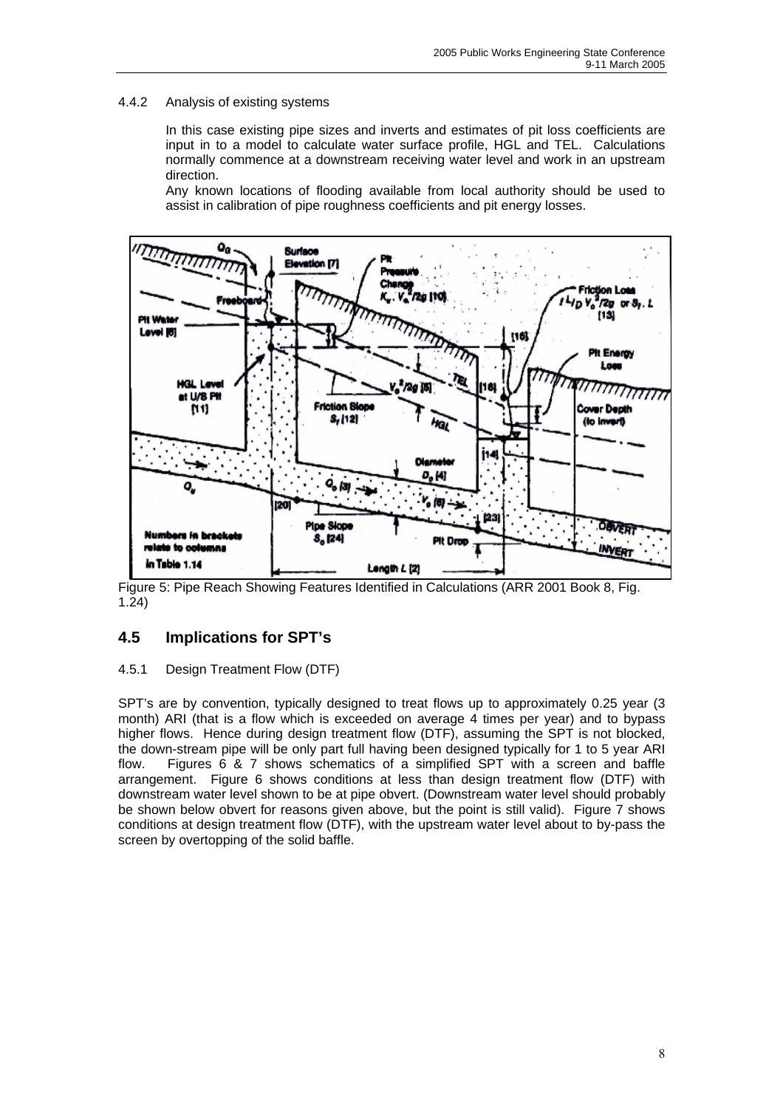### 4.4.2 Analysis of existing systems

In this case existing pipe sizes and inverts and estimates of pit loss coefficients are input in to a model to calculate water surface profile, HGL and TEL. Calculations normally commence at a downstream receiving water level and work in an upstream direction.

Any known locations of flooding available from local authority should be used to assist in calibration of pipe roughness coefficients and pit energy losses.



Figure 5: Pipe Reach Showing Features Identified in Calculations (ARR 2001 Book 8, Fig. 1.24)

# **4.5 Implications for SPT's**

### 4.5.1 Design Treatment Flow (DTF)

SPT's are by convention, typically designed to treat flows up to approximately 0.25 year (3 month) ARI (that is a flow which is exceeded on average 4 times per year) and to bypass higher flows. Hence during design treatment flow (DTF), assuming the SPT is not blocked, the down-stream pipe will be only part full having been designed typically for 1 to 5 year ARI flow. Figures 6 & 7 shows schematics of a simplified SPT with a screen and baffle arrangement. Figure 6 shows conditions at less than design treatment flow (DTF) with downstream water level shown to be at pipe obvert. (Downstream water level should probably be shown below obvert for reasons given above, but the point is still valid). Figure 7 shows conditions at design treatment flow (DTF), with the upstream water level about to by-pass the screen by overtopping of the solid baffle.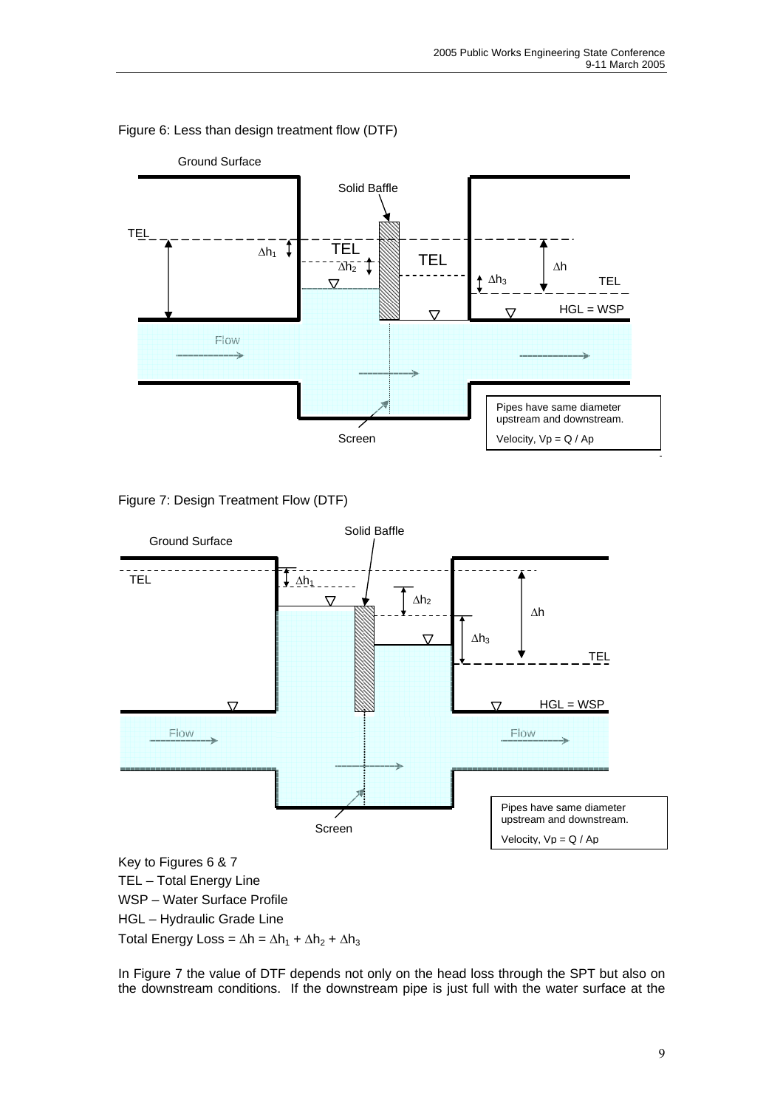

### Figure 6: Less than design treatment flow (DTF)





HGL – Hydraulic Grade Line

Total Energy Loss =  $\Delta h = \Delta h_1 + \Delta h_2 + \Delta h_3$ 

In Figure 7 the value of DTF depends not only on the head loss through the SPT but also on the downstream conditions. If the downstream pipe is just full with the water surface at the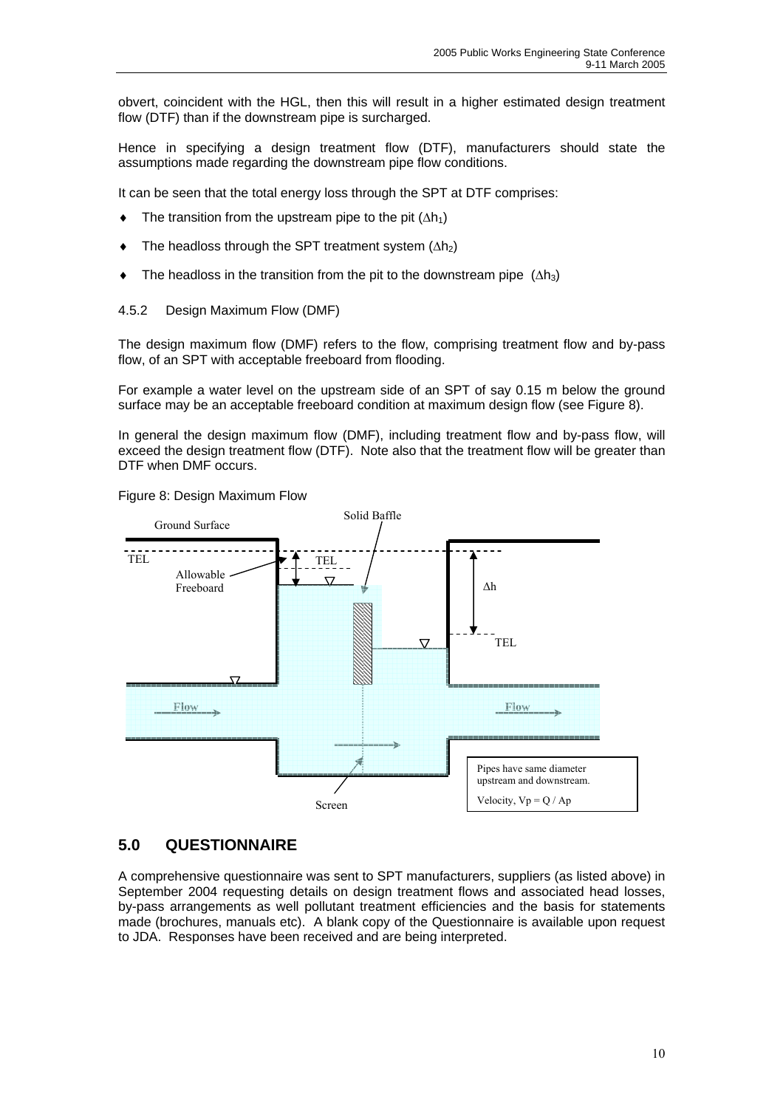obvert, coincident with the HGL, then this will result in a higher estimated design treatment flow (DTF) than if the downstream pipe is surcharged.

Hence in specifying a design treatment flow (DTF), manufacturers should state the assumptions made regarding the downstream pipe flow conditions.

It can be seen that the total energy loss through the SPT at DTF comprises:

- $\bullet$  The transition from the upstream pipe to the pit ( $\Delta h_1$ )
- $\bullet$  The headloss through the SPT treatment system ( $\Delta h_2$ )
- $\bullet$  The headloss in the transition from the pit to the downstream pipe  $(∆h_3)$
- 4.5.2 Design Maximum Flow (DMF)

The design maximum flow (DMF) refers to the flow, comprising treatment flow and by-pass flow, of an SPT with acceptable freeboard from flooding.

For example a water level on the upstream side of an SPT of say 0.15 m below the ground surface may be an acceptable freeboard condition at maximum design flow (see Figure 8).

In general the design maximum flow (DMF), including treatment flow and by-pass flow, will exceed the design treatment flow (DTF). Note also that the treatment flow will be greater than DTF when DMF occurs.





### **5.0 QUESTIONNAIRE**

A comprehensive questionnaire was sent to SPT manufacturers, suppliers (as listed above) in September 2004 requesting details on design treatment flows and associated head losses, by-pass arrangements as well pollutant treatment efficiencies and the basis for statements made (brochures, manuals etc). A blank copy of the Questionnaire is available upon request to JDA. Responses have been received and are being interpreted.